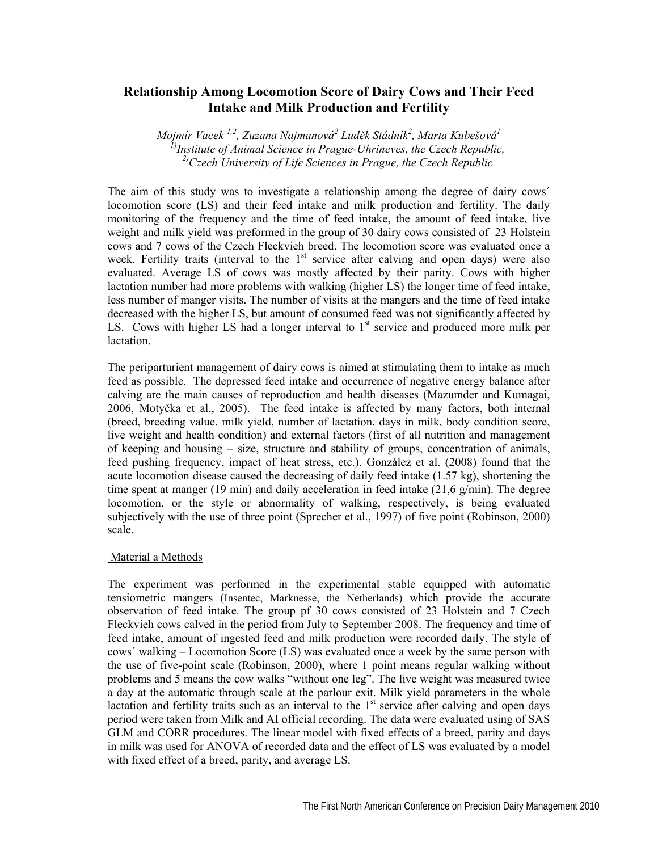# **Relationship Among Locomotion Score of Dairy Cows and Their Feed Intake and Milk Production and Fertility**

*Mojmír Vacek 1,2, Zuzana Najmanová2 Luděk Stádník2 , Marta Kubešová1 1)Institute of Animal Science in Prague-Uhrineves, the Czech Republic, 2)Czech University of Life Sciences in Prague, the Czech Republic*

The aim of this study was to investigate a relationship among the degree of dairy cows´ locomotion score (LS) and their feed intake and milk production and fertility. The daily monitoring of the frequency and the time of feed intake, the amount of feed intake, live weight and milk yield was preformed in the group of 30 dairy cows consisted of 23 Holstein cows and 7 cows of the Czech Fleckvieh breed. The locomotion score was evaluated once a week. Fertility traits (interval to the  $1<sup>st</sup>$  service after calving and open days) were also evaluated. Average LS of cows was mostly affected by their parity. Cows with higher lactation number had more problems with walking (higher LS) the longer time of feed intake, less number of manger visits. The number of visits at the mangers and the time of feed intake decreased with the higher LS, but amount of consumed feed was not significantly affected by LS. Cows with higher LS had a longer interval to  $1<sup>st</sup>$  service and produced more milk per lactation.

The periparturient management of dairy cows is aimed at stimulating them to intake as much feed as possible. The depressed feed intake and occurrence of negative energy balance after calving are the main causes of reproduction and health diseases (Mazumder and Kumagai, 2006, Motyčka et al., 2005). The feed intake is affected by many factors, both internal (breed, breeding value, milk yield, number of lactation, days in milk, body condition score, live weight and health condition) and external factors (first of all nutrition and management of keeping and housing – size, structure and stability of groups, concentration of animals, feed pushing frequency, impact of heat stress, etc.). González et al. (2008) found that the acute locomotion disease caused the decreasing of daily feed intake (1.57 kg), shortening the time spent at manger (19 min) and daily acceleration in feed intake  $(21.6 \text{ g/min})$ . The degree locomotion, or the style or abnormality of walking, respectively, is being evaluated subjectively with the use of three point (Sprecher et al., 1997) of five point (Robinson, 2000) scale.

## Material a Methods

The experiment was performed in the experimental stable equipped with automatic tensiometric mangers (Insentec, Marknesse, the Netherlands) which provide the accurate observation of feed intake. The group pf 30 cows consisted of 23 Holstein and 7 Czech Fleckvieh cows calved in the period from July to September 2008. The frequency and time of feed intake, amount of ingested feed and milk production were recorded daily. The style of cows´ walking – Locomotion Score (LS) was evaluated once a week by the same person with the use of five-point scale (Robinson, 2000), where 1 point means regular walking without problems and 5 means the cow walks "without one leg". The live weight was measured twice a day at the automatic through scale at the parlour exit. Milk yield parameters in the whole lactation and fertility traits such as an interval to the  $1<sup>st</sup>$  service after calving and open days period were taken from Milk and AI official recording. The data were evaluated using of SAS GLM and CORR procedures. The linear model with fixed effects of a breed, parity and days in milk was used for ANOVA of recorded data and the effect of LS was evaluated by a model with fixed effect of a breed, parity, and average LS.